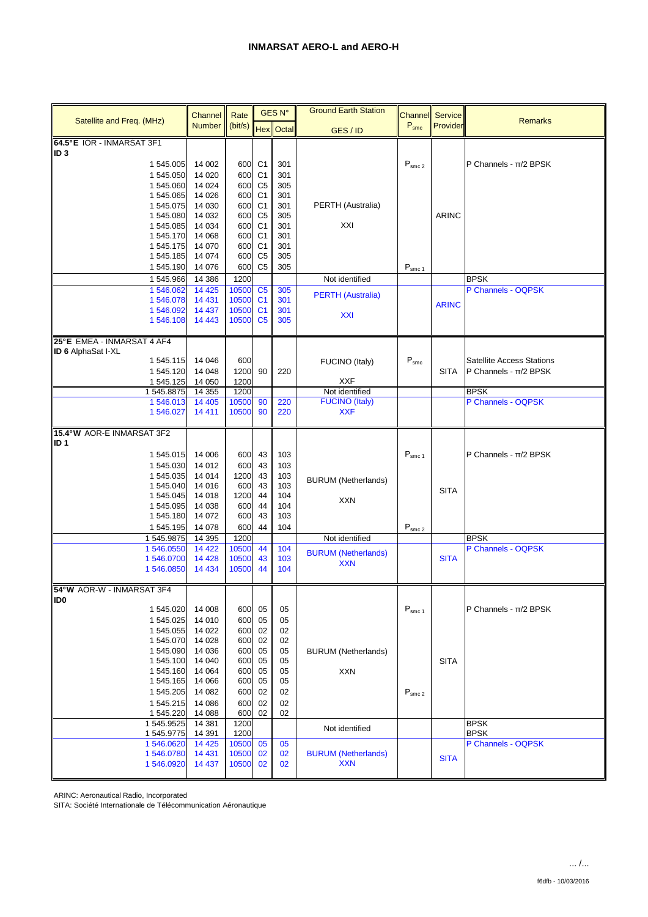|                                        | Channel             | Rate          |                                  | <b>GES N°</b> | <b>Ground Earth Station</b> |                                | <b>Channel</b> Service |                                   |
|----------------------------------------|---------------------|---------------|----------------------------------|---------------|-----------------------------|--------------------------------|------------------------|-----------------------------------|
| Satellite and Freq. (MHz)              | <b>Number</b>       | (bit/s) Hex   |                                  | Octal         | GES/ID                      | $P_{smc}$                      | Provider               | <b>Remarks</b>                    |
| 64.5°E IOR - INMARSAT 3F1              |                     |               |                                  |               |                             |                                |                        |                                   |
| ID <sub>3</sub>                        |                     |               |                                  |               |                             |                                |                        |                                   |
| 1 545.005                              | 14 002              | 600           | C <sub>1</sub>                   | 301           |                             | $\mathsf{P}_{\mathsf{smc}\,2}$ |                        | P Channels - $\pi/2$ BPSK         |
| 1 545.050<br>1545.060                  | 14 0 20<br>14 0 24  | 600<br>600    | C <sub>1</sub><br>C <sub>5</sub> | 301<br>305    |                             |                                |                        |                                   |
| 1 545.065                              | 14 0 26             | 600           | C <sub>1</sub>                   | 301           |                             |                                |                        |                                   |
| 1545.075                               | 14 030              | 600           | C <sub>1</sub>                   | 301           | PERTH (Australia)           |                                |                        |                                   |
| 1545.080                               | 14 0 32             | 600           | C <sub>5</sub>                   | 305           |                             |                                | <b>ARINC</b>           |                                   |
| 1 545.085                              | 14 0 34             | 600           | C <sub>1</sub>                   | 301           | XXI                         |                                |                        |                                   |
| 1 545.170                              | 14 0 68             | 600           | C <sub>1</sub>                   | 301           |                             |                                |                        |                                   |
| 1 545.175                              | 14 070              | 600           | C <sub>1</sub>                   | 301           |                             |                                |                        |                                   |
| 1 545.185<br>1545.190                  | 14 0 74<br>14 0 76  | 600<br>600    | C <sub>5</sub><br>C <sub>5</sub> | 305<br>305    |                             | $P_{smc1}$                     |                        |                                   |
|                                        |                     |               |                                  |               |                             |                                |                        |                                   |
| 1545.966<br>1 546.062                  | 14 386<br>14 4 25   | 1200<br>10500 | C <sub>5</sub>                   |               | Not identified              |                                |                        | <b>BPSK</b><br>P Channels - OQPSK |
| 1546.078                               | 14 4 31             | 10500         | C <sub>1</sub>                   | 305<br>301    | <b>PERTH (Australia)</b>    |                                |                        |                                   |
| 1546.092                               | 14 4 37             | 10500         | C <sub>1</sub>                   | 301           |                             |                                | <b>ARINC</b>           |                                   |
| 1546.108                               | 14 4 43             | 10500         | C <sub>5</sub>                   | 305           | <b>XXI</b>                  |                                |                        |                                   |
|                                        |                     |               |                                  |               |                             |                                |                        |                                   |
| 25°E EMEA - INMARSAT 4 AF4             |                     |               |                                  |               |                             |                                |                        |                                   |
| <b>ID 6 AlphaSat I-XL</b><br>1 545.115 | 14 04 6             | 600           |                                  |               |                             | $P_{smc}$                      |                        | <b>Satellite Access Stations</b>  |
| 1 545.120                              | 14 048              | 1200          | 90                               | 220           | FUCINO (Italy)              |                                | SITA                   | P Channels - $\pi/2$ BPSK         |
| 1 545.125                              | 14 050              | 1200          |                                  |               | <b>XXF</b>                  |                                |                        |                                   |
| 1545.8875                              | 14 3 55             | 1200          |                                  |               | Not identified              |                                |                        | <b>BPSK</b>                       |
| 1546.013                               | 14 4 05             | 10500         | 90                               | 220           | <b>FUCINO (Italy)</b>       |                                |                        | P Channels - OQPSK                |
| 1 546.027                              | 14 4 11             | 10500         | 90                               | 220           | <b>XXF</b>                  |                                |                        |                                   |
| 15.4°W AOR-E INMARSAT 3F2              |                     |               |                                  |               |                             |                                |                        |                                   |
| ID <sub>1</sub>                        |                     |               |                                  |               |                             |                                |                        |                                   |
| 1 545.015                              | 14 006              | 600           | 43                               | 103           |                             | $P_{smc1}$                     |                        | P Channels - $\pi/2$ BPSK         |
| 1 545.030                              | 14 012              | 600           | 43                               | 103           |                             |                                |                        |                                   |
| 1 545.035                              | 14 014              | 1200          | 43                               | 103           |                             |                                |                        |                                   |
| 1545.040                               | 14 016              | 600           | 43                               | 103           | <b>BURUM</b> (Netherlands)  |                                | <b>SITA</b>            |                                   |
| 1 545.045                              | 14 018              | 1200          | 44                               | 104           | <b>XXN</b>                  |                                |                        |                                   |
| 1545.095                               | 14 038              | 600           | 44                               | 104           |                             |                                |                        |                                   |
| 1545.180                               | 14 072              | 600           | 43                               | 103           |                             |                                |                        |                                   |
| 1 545.195<br>1545.9875                 | 14 0 78<br>14 3 9 5 | 600<br>1200   | 44                               | 104           | Not identified              | $\mathsf{P}_{\mathsf{smc}\,2}$ |                        | <b>BPSK</b>                       |
| 1 546.0550                             | 14 4 22             | 10500         | 44                               | 104           |                             |                                |                        | P Channels - OQPSK                |
| 1546.0700                              | 14 4 28             | 10500         | 43                               | 103           | <b>BURUM (Netherlands)</b>  |                                | <b>SITA</b>            |                                   |
| 1546.0850                              | 14 4 34             | 10500         | 44                               | 104           | <b>XXN</b>                  |                                |                        |                                   |
|                                        |                     |               |                                  |               |                             |                                |                        |                                   |
| 54°W AOR-W - INMARSAT 3F4              |                     |               |                                  |               |                             |                                |                        |                                   |
| ID <sub>0</sub><br>1 545.020           | 14 008              | 600           | 05                               | 05            |                             | $P_{smc1}$                     |                        | P Channels - $\pi/2$ BPSK         |
| 1 545.025                              | 14 010              | 600           | 05                               | 05            |                             |                                |                        |                                   |
| 1 545.055                              | 14 0 22             | 600           | 02                               | 02            |                             |                                |                        |                                   |
| 1545.070                               | 14 0 28             | 600           | 02                               | 02            |                             |                                |                        |                                   |
| 1 545.090                              | 14 036              | 600           | 05                               | 05            | <b>BURUM (Netherlands)</b>  |                                |                        |                                   |
| 1 545.100                              | 14 040              | 600           | 05                               | 05            |                             |                                | <b>SITA</b>            |                                   |
| 1 545.160                              | 14 0 64             | 600           | 05                               | 05            | <b>XXN</b>                  |                                |                        |                                   |
| 1 545.165                              | 14 066              | 600           | 05                               | 05            |                             |                                |                        |                                   |
| 1 545.205<br>1545.215                  | 14 082<br>14 08 6   | 600<br>600    | 02<br>02                         | 02<br>02      |                             | $\mathsf{P}_{\mathsf{smc}\,2}$ |                        |                                   |
| 1 545.220                              | 14 088              | 600           | 02                               | 02            |                             |                                |                        |                                   |
| 1 545.9525                             | 14 381              | 1200          |                                  |               |                             |                                |                        | <b>BPSK</b>                       |
| 1545.9775                              | 14 391              | 1200          |                                  |               | Not identified              |                                |                        | <b>BPSK</b>                       |
| 1546.0620                              | 14 4 25             | 10500         | 05                               | 05            |                             |                                |                        | P Channels - OQPSK                |
| 1546.0780                              | 14 4 31             | 10500         | 02                               | 02            | <b>BURUM (Netherlands)</b>  |                                | <b>SITA</b>            |                                   |
| 1546.0920                              | 14 4 37             | 10500         | 02                               | 02            | <b>XXN</b>                  |                                |                        |                                   |

ARINC: Aeronautical Radio, Incorporated

SITA: Société Internationale de Télécommunication Aéronautique